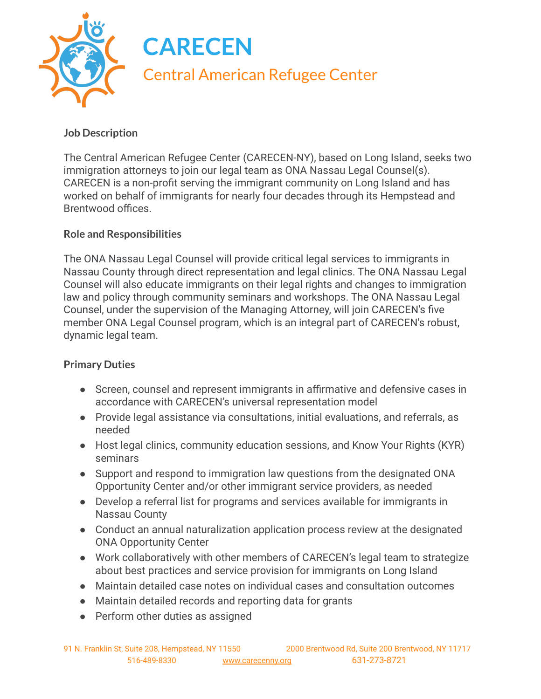

## **Job Description**

The Central American Refugee Center (CARECEN-NY), based on Long Island, seeks two immigration attorneys to join our legal team as ONA Nassau Legal Counsel(s). CARECEN is a non-profit serving the immigrant community on Long Island and has worked on behalf of immigrants for nearly four decades through its Hempstead and Brentwood offices.

## **Role and Responsibilities**

The ONA Nassau Legal Counsel will provide critical legal services to immigrants in Nassau County through direct representation and legal clinics. The ONA Nassau Legal Counsel will also educate immigrants on their legal rights and changes to immigration law and policy through community seminars and workshops. The ONA Nassau Legal Counsel, under the supervision of the Managing Attorney, will join CARECEN's five member ONA Legal Counsel program, which is an integral part of CARECEN's robust, dynamic legal team.

## **Primary Duties**

- Screen, counsel and represent immigrants in affirmative and defensive cases in accordance with CARECEN's universal representation model
- Provide legal assistance via consultations, initial evaluations, and referrals, as needed
- Host legal clinics, community education sessions, and Know Your Rights (KYR) seminars
- Support and respond to immigration law questions from the designated ONA Opportunity Center and/or other immigrant service providers, as needed
- Develop a referral list for programs and services available for immigrants in Nassau County
- Conduct an annual naturalization application process review at the designated ONA Opportunity Center
- Work collaboratively with other members of CARECEN's legal team to strategize about best practices and service provision for immigrants on Long Island
- Maintain detailed case notes on individual cases and consultation outcomes
- Maintain detailed records and reporting data for grants
- Perform other duties as assigned